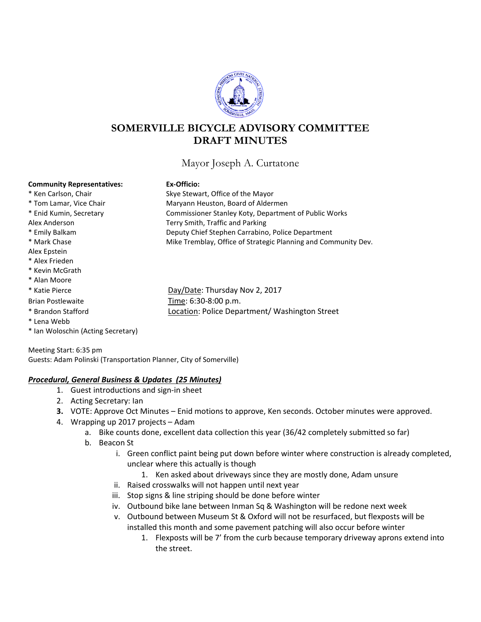

# **SOMERVILLE BICYCLE ADVISORY COMMITTEE DRAFT MINUTES**

Mayor Joseph A. Curtatone

#### **Community Representatives: Ex-Officio:**

Alex Epstein \* Alex Frieden \* Kevin McGrath \* Alan Moore

\* Lena Webb

| auvcs. |  |  |
|--------|--|--|
|        |  |  |
|        |  |  |

\* Ken Carlson, Chair Skye Stewart, Office of the Mayor \* Tom Lamar, Vice Chair **Maryann Heuston, Board of Aldermen** \* Enid Kumin, Secretary Commissioner Stanley Koty, Department of Public Works Alex Anderson Terry Smith, Traffic and Parking \* Emily Balkam Deputy Chief Stephen Carrabino, Police Department \* Mark Chase Mike Tremblay, Office of Strategic Planning and Community Dev.

\* Katie Pierce Day/Date: Thursday Nov 2, 2017 Brian Postlewaite Time: 6:30-8:00 p.m. \* Brandon Stafford Location: Police Department/ Washington Street

Meeting Start: 6:35 pm Guests: Adam Polinski (Transportation Planner, City of Somerville)

#### *Procedural, General Business & Updates (25 Minutes)*

- 1. Guest introductions and sign-in sheet
- 2. Acting Secretary: Ian

\* Ian Woloschin (Acting Secretary)

- **3.** VOTE: Approve Oct Minutes Enid motions to approve, Ken seconds. October minutes were approved.
- 4. Wrapping up 2017 projects Adam
	- a. Bike counts done, excellent data collection this year (36/42 completely submitted so far)
	- b. Beacon St
		- i. Green conflict paint being put down before winter where construction is already completed, unclear where this actually is though
			- 1. Ken asked about driveways since they are mostly done, Adam unsure
		- ii. Raised crosswalks will not happen until next year
		- iii. Stop signs & line striping should be done before winter
		- iv. Outbound bike lane between Inman Sq & Washington will be redone next week
		- v. Outbound between Museum St & Oxford will not be resurfaced, but flexposts will be installed this month and some pavement patching will also occur before winter
			- 1. Flexposts will be 7' from the curb because temporary driveway aprons extend into the street.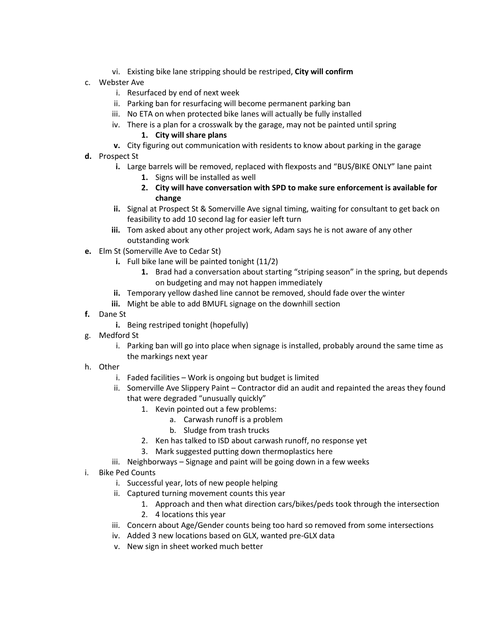- vi. Existing bike lane stripping should be restriped, **City will confirm**
- c. Webster Ave
	- i. Resurfaced by end of next week
	- ii. Parking ban for resurfacing will become permanent parking ban
	- iii. No ETA on when protected bike lanes will actually be fully installed
	- iv. There is a plan for a crosswalk by the garage, may not be painted until spring

#### **1. City will share plans**

- **v.** City figuring out communication with residents to know about parking in the garage
- **d.** Prospect St
	- **i.** Large barrels will be removed, replaced with flexposts and "BUS/BIKE ONLY" lane paint
		- **1.** Signs will be installed as well
		- **2. City will have conversation with SPD to make sure enforcement is available for change**
	- **ii.** Signal at Prospect St & Somerville Ave signal timing, waiting for consultant to get back on feasibility to add 10 second lag for easier left turn
	- **iii.** Tom asked about any other project work, Adam says he is not aware of any other outstanding work
- **e.** Elm St (Somerville Ave to Cedar St)
	- **i.** Full bike lane will be painted tonight (11/2)
		- **1.** Brad had a conversation about starting "striping season" in the spring, but depends on budgeting and may not happen immediately
	- **ii.** Temporary yellow dashed line cannot be removed, should fade over the winter
	- **iii.** Might be able to add BMUFL signage on the downhill section
- **f.** Dane St
	- **i.** Being restriped tonight (hopefully)
- g. Medford St
	- i. Parking ban will go into place when signage is installed, probably around the same time as the markings next year
- h. Other
	- i. Faded facilities Work is ongoing but budget is limited
	- ii. Somerville Ave Slippery Paint Contractor did an audit and repainted the areas they found that were degraded "unusually quickly"
		- 1. Kevin pointed out a few problems:
			- a. Carwash runoff is a problem
			- b. Sludge from trash trucks
		- 2. Ken has talked to ISD about carwash runoff, no response yet
		- 3. Mark suggested putting down thermoplastics here
	- iii. Neighborways Signage and paint will be going down in a few weeks
- i. Bike Ped Counts
	- i. Successful year, lots of new people helping
	- ii. Captured turning movement counts this year
		- 1. Approach and then what direction cars/bikes/peds took through the intersection
		- 2. 4 locations this year
	- iii. Concern about Age/Gender counts being too hard so removed from some intersections
	- iv. Added 3 new locations based on GLX, wanted pre-GLX data
	- v. New sign in sheet worked much better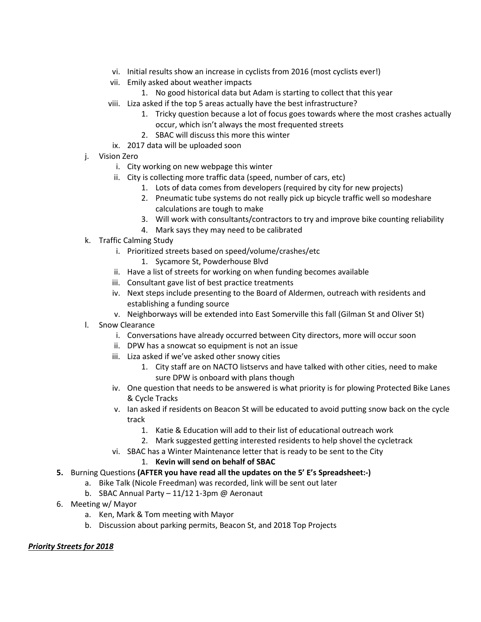- vi. Initial results show an increase in cyclists from 2016 (most cyclists ever!)
- vii. Emily asked about weather impacts
	- 1. No good historical data but Adam is starting to collect that this year
- viii. Liza asked if the top 5 areas actually have the best infrastructure?
	- 1. Tricky question because a lot of focus goes towards where the most crashes actually occur, which isn't always the most frequented streets
	- 2. SBAC will discuss this more this winter
	- ix. 2017 data will be uploaded soon
- j. Vision Zero
	- i. City working on new webpage this winter
	- ii. City is collecting more traffic data (speed, number of cars, etc)
		- 1. Lots of data comes from developers (required by city for new projects)
		- 2. Pneumatic tube systems do not really pick up bicycle traffic well so modeshare calculations are tough to make
		- 3. Will work with consultants/contractors to try and improve bike counting reliability
		- 4. Mark says they may need to be calibrated
- k. Traffic Calming Study
	- i. Prioritized streets based on speed/volume/crashes/etc
		- 1. Sycamore St, Powderhouse Blvd
	- ii. Have a list of streets for working on when funding becomes available
	- iii. Consultant gave list of best practice treatments
	- iv. Next steps include presenting to the Board of Aldermen, outreach with residents and establishing a funding source
	- v. Neighborways will be extended into East Somerville this fall (Gilman St and Oliver St)
- l. Snow Clearance
	- i. Conversations have already occurred between City directors, more will occur soon
	- ii. DPW has a snowcat so equipment is not an issue
	- iii. Liza asked if we've asked other snowy cities
		- 1. City staff are on NACTO listservs and have talked with other cities, need to make sure DPW is onboard with plans though
	- iv. One question that needs to be answered is what priority is for plowing Protected Bike Lanes & Cycle Tracks
	- v. Ian asked if residents on Beacon St will be educated to avoid putting snow back on the cycle track
		- 1. Katie & Education will add to their list of educational outreach work
		- 2. Mark suggested getting interested residents to help shovel the cycletrack
	- vi. SBAC has a Winter Maintenance letter that is ready to be sent to the City

#### 1. **Kevin will send on behalf of SBAC**

- **5.** Burning Questions **(AFTER you have read all the updates on the 5' E's Spreadsheet:-)**
	- a. Bike Talk (Nicole Freedman) was recorded, link will be sent out later
	- b. SBAC Annual Party 11/12 1-3pm @ Aeronaut
- 6. Meeting w/ Mayor
	- a. Ken, Mark & Tom meeting with Mayor
	- b. Discussion about parking permits, Beacon St, and 2018 Top Projects

### *Priority Streets for 2018*